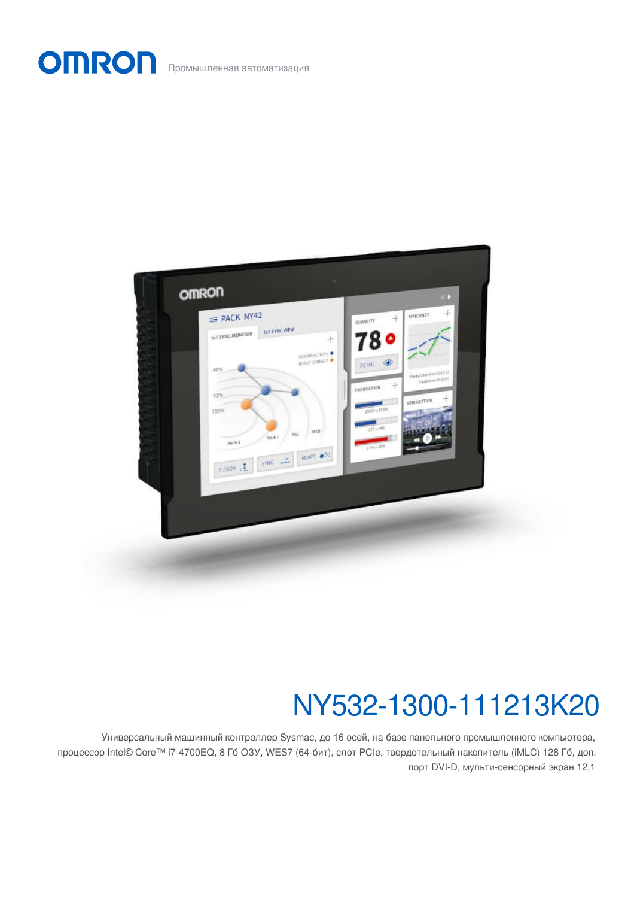Промышленная автоматизация

**OMRON** 



# NY532-1300-111213K20

Универсальный машинный контроллер Sysmac, до 16 осей, на базе панельного промышленного компьютера, процессор Intel© Core™ i7-4700EQ, 8 Гб ОЗУ, WES7 (64-бит), слот PCIe, твердотельный накопитель (iMLC) 128 Гб, доп. порт DVI-D, мульти-сенсорный экран 12,1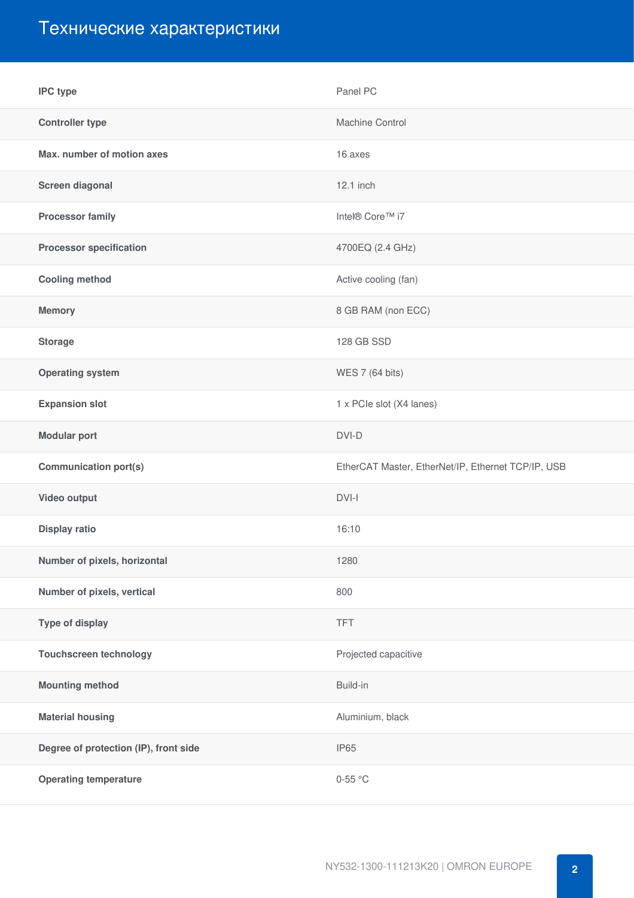# Технические характеристики

| <b>IPC</b> type                       | Panel PC                                           |
|---------------------------------------|----------------------------------------------------|
| <b>Controller type</b>                | Machine Control                                    |
| Max. number of motion axes            | 16 axes                                            |
| Screen diagonal                       | 12.1 inch                                          |
| <b>Processor family</b>               | Intel® Core™ i7                                    |
| <b>Processor specification</b>        | 4700EQ (2.4 GHz)                                   |
| <b>Cooling method</b>                 | Active cooling (fan)                               |
| <b>Memory</b>                         | 8 GB RAM (non ECC)                                 |
| <b>Storage</b>                        | 128 GB SSD                                         |
| <b>Operating system</b>               | WES 7 (64 bits)                                    |
| <b>Expansion slot</b>                 | 1 x PCIe slot (X4 lanes)                           |
| <b>Modular port</b>                   | DVI-D                                              |
| <b>Communication port(s)</b>          | EtherCAT Master, EtherNet/IP, Ethernet TCP/IP, USB |
| Video output                          | DVI-I                                              |
| Display ratio                         | 16:10                                              |
| Number of pixels, horizontal          | 1280                                               |
| Number of pixels, vertical            | 800                                                |
| <b>Type of display</b>                | <b>TFT</b>                                         |
| <b>Touchscreen technology</b>         | Projected capacitive                               |
| <b>Mounting method</b>                | Build-in                                           |
| <b>Material housing</b>               | Aluminium, black                                   |
| Degree of protection (IP), front side | IP65                                               |
| <b>Operating temperature</b>          | $0-55$ °C                                          |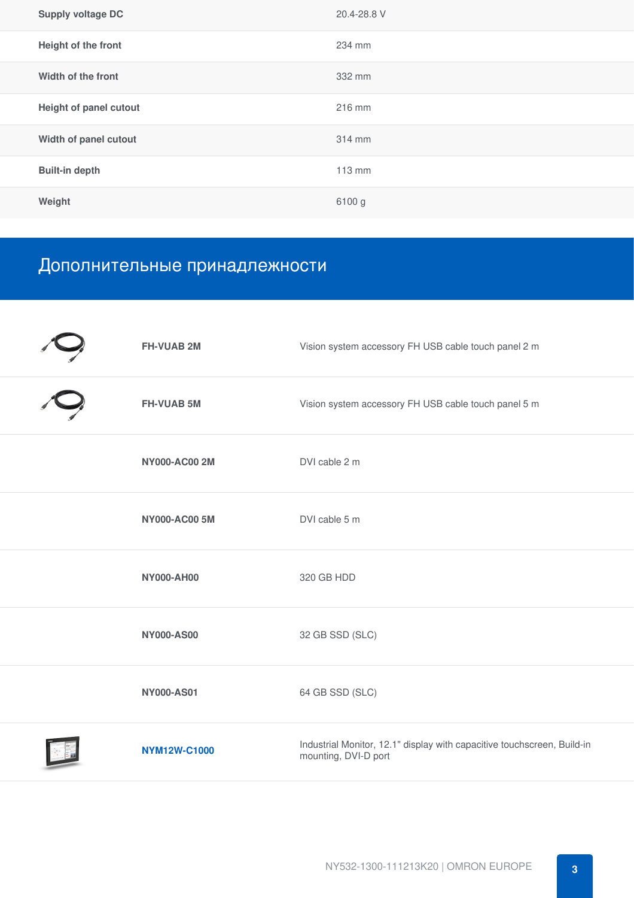| <b>Supply voltage DC</b>      | 20.4-28.8 V |
|-------------------------------|-------------|
| Height of the front           | 234 mm      |
| Width of the front            | 332 mm      |
| <b>Height of panel cutout</b> | 216 mm      |
| Width of panel cutout         | 314 mm      |
| <b>Built-in depth</b>         | 113 mm      |
| Weight                        | 6100 g      |

# Дополнительные принадлежности

| <b>FH-VUAB 2M</b>    | Vision system accessory FH USB cable touch panel 2 m                                            |
|----------------------|-------------------------------------------------------------------------------------------------|
| <b>FH-VUAB 5M</b>    | Vision system accessory FH USB cable touch panel 5 m                                            |
| <b>NY000-AC00 2M</b> | DVI cable 2 m                                                                                   |
| <b>NY000-AC00 5M</b> | DVI cable 5 m                                                                                   |
| <b>NY000-AH00</b>    | 320 GB HDD                                                                                      |
| <b>NY000-AS00</b>    | 32 GB SSD (SLC)                                                                                 |
| <b>NY000-AS01</b>    | 64 GB SSD (SLC)                                                                                 |
| <b>NYM12W-C1000</b>  | Industrial Monitor, 12.1" display with capacitive touchscreen, Build-in<br>mounting, DVI-D port |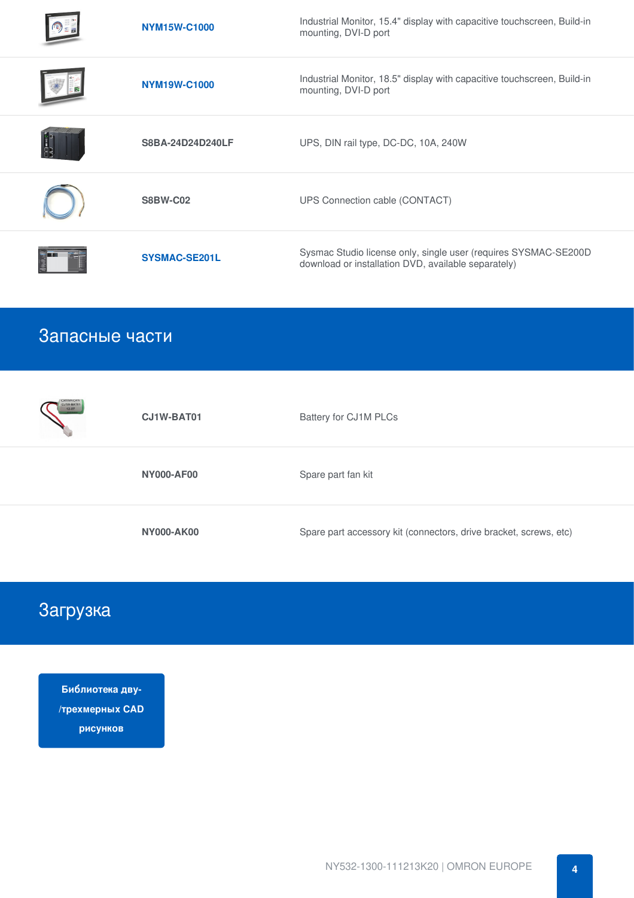| <b>NYM15W-C1000</b>  | Industrial Monitor, 15.4" display with capacitive touchscreen, Build-in<br>mounting, DVI-D port                        |
|----------------------|------------------------------------------------------------------------------------------------------------------------|
| <b>NYM19W-C1000</b>  | Industrial Monitor, 18.5" display with capacitive touchscreen, Build-in<br>mounting, DVI-D port                        |
| S8BA-24D24D240LF     | UPS, DIN rail type, DC-DC, 10A, 240W                                                                                   |
| <b>S8BW-C02</b>      | UPS Connection cable (CONTACT)                                                                                         |
| <b>SYSMAC-SE201L</b> | Sysmac Studio license only, single user (requires SYSMAC-SE200D<br>download or installation DVD, available separately) |

### Запасные части

| <b>OMRON</b><br>CJ1W-BAT01<br>12-07 | CJ1W-BAT01        | Battery for CJ1M PLCs                                             |
|-------------------------------------|-------------------|-------------------------------------------------------------------|
|                                     | <b>NY000-AF00</b> | Spare part fan kit                                                |
|                                     | <b>NY000-AK00</b> | Spare part accessory kit (connectors, drive bracket, screws, etc) |

# Загрузка

**Библиотека дву- [/трехмерных](https://download.ia.omron.com/download/page/NY532_1%5B%5D00_111213%5B%5D2%5B%5D/OEE) CAD рисунков**